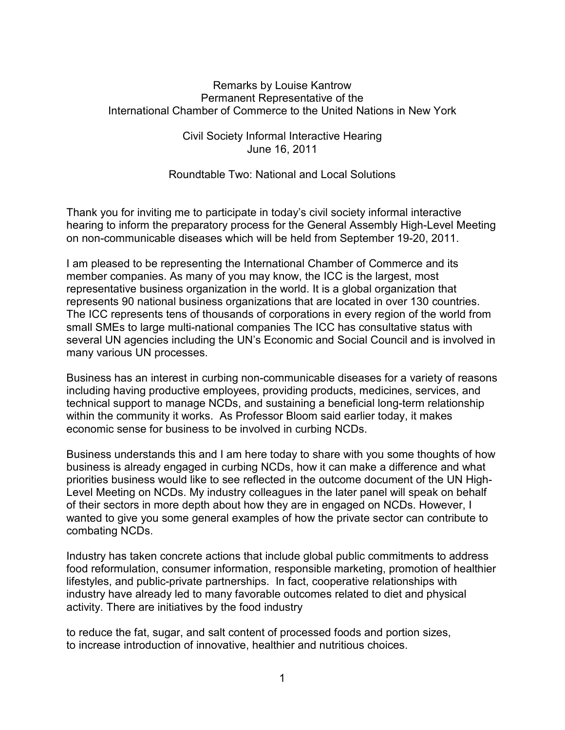## Remarks by Louise Kantrow Permanent Representative of the International Chamber of Commerce to the United Nations in New York

## Civil Society Informal Interactive Hearing June 16, 2011

## Roundtable Two: National and Local Solutions

Thank you for inviting me to participate in today's civil society informal interactive hearing to inform the preparatory process for the General Assembly High-Level Meeting on non-communicable diseases which will be held from September 19-20, 2011.

I am pleased to be representing the International Chamber of Commerce and its member companies. As many of you may know, the ICC is the largest, most representative business organization in the world. It is a global organization that represents 90 national business organizations that are located in over 130 countries. The ICC represents tens of thousands of corporations in every region of the world from small SMEs to large multi-national companies The ICC has consultative status with several UN agencies including the UN's Economic and Social Council and is involved in many various UN processes.

Business has an interest in curbing non-communicable diseases for a variety of reasons including having productive employees, providing products, medicines, services, and technical support to manage NCDs, and sustaining a beneficial long-term relationship within the community it works. As Professor Bloom said earlier today, it makes economic sense for business to be involved in curbing NCDs.

Business understands this and I am here today to share with you some thoughts of how business is already engaged in curbing NCDs, how it can make a difference and what priorities business would like to see reflected in the outcome document of the UN High-Level Meeting on NCDs. My industry colleagues in the later panel will speak on behalf of their sectors in more depth about how they are in engaged on NCDs. However, I wanted to give you some general examples of how the private sector can contribute to combating NCDs.

Industry has taken concrete actions that include global public commitments to address food reformulation, consumer information, responsible marketing, promotion of healthier lifestyles, and public-private partnerships. In fact, cooperative relationships with industry have already led to many favorable outcomes related to diet and physical activity. There are initiatives by the food industry

to reduce the fat, sugar, and salt content of processed foods and portion sizes, to increase introduction of innovative, healthier and nutritious choices.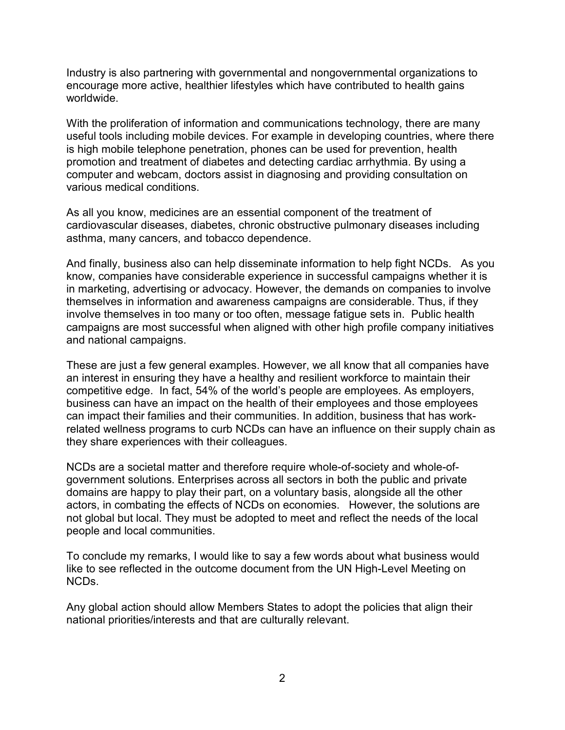Industry is also partnering with governmental and nongovernmental organizations to encourage more active, healthier lifestyles which have contributed to health gains worldwide.

With the proliferation of information and communications technology, there are many useful tools including mobile devices. For example in developing countries, where there is high mobile telephone penetration, phones can be used for prevention, health promotion and treatment of diabetes and detecting cardiac arrhythmia. By using a computer and webcam, doctors assist in diagnosing and providing consultation on various medical conditions.

As all you know, medicines are an essential component of the treatment of cardiovascular diseases, diabetes, chronic obstructive pulmonary diseases including asthma, many cancers, and tobacco dependence.

And finally, business also can help disseminate information to help fight NCDs. As you know, companies have considerable experience in successful campaigns whether it is in marketing, advertising or advocacy. However, the demands on companies to involve themselves in information and awareness campaigns are considerable. Thus, if they involve themselves in too many or too often, message fatigue sets in. Public health campaigns are most successful when aligned with other high profile company initiatives and national campaigns.

These are just a few general examples. However, we all know that all companies have an interest in ensuring they have a healthy and resilient workforce to maintain their competitive edge. In fact, 54% of the world's people are employees. As employers, business can have an impact on the health of their employees and those employees can impact their families and their communities. In addition, business that has workrelated wellness programs to curb NCDs can have an influence on their supply chain as they share experiences with their colleagues.

NCDs are a societal matter and therefore require whole-of-society and whole-ofgovernment solutions. Enterprises across all sectors in both the public and private domains are happy to play their part, on a voluntary basis, alongside all the other actors, in combating the effects of NCDs on economies. However, the solutions are not global but local. They must be adopted to meet and reflect the needs of the local people and local communities.

To conclude my remarks, I would like to say a few words about what business would like to see reflected in the outcome document from the UN High-Level Meeting on NCDs.

Any global action should allow Members States to adopt the policies that align their national priorities/interests and that are culturally relevant.